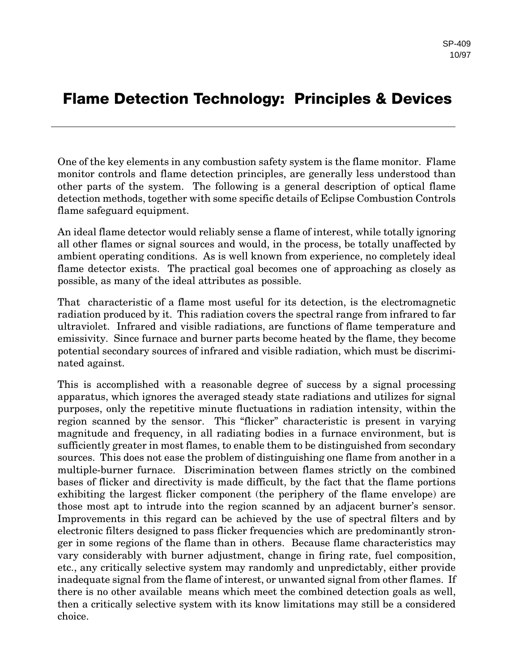## **Flame Detection Technology: Principles & Devices**

One of the key elements in any combustion safety system is the flame monitor. Flame monitor controls and flame detection principles, are generally less understood than other parts of the system. The following is a general description of optical flame detection methods, together with some specific details of Eclipse Combustion Controls flame safeguard equipment.

An ideal flame detector would reliably sense a flame of interest, while totally ignoring all other flames or signal sources and would, in the process, be totally unaffected by ambient operating conditions. As is well known from experience, no completely ideal flame detector exists. The practical goal becomes one of approaching as closely as possible, as many of the ideal attributes as possible.

That characteristic of a flame most useful for its detection, is the electromagnetic radiation produced by it. This radiation covers the spectral range from infrared to far ultraviolet. Infrared and visible radiations, are functions of flame temperature and emissivity. Since furnace and burner parts become heated by the flame, they become potential secondary sources of infrared and visible radiation, which must be discriminated against.

This is accomplished with a reasonable degree of success by a signal processing apparatus, which ignores the averaged steady state radiations and utilizes for signal purposes, only the repetitive minute fluctuations in radiation intensity, within the region scanned by the sensor. This "flicker" characteristic is present in varying magnitude and frequency, in all radiating bodies in a furnace environment, but is sufficiently greater in most flames, to enable them to be distinguished from secondary sources. This does not ease the problem of distinguishing one flame from another in a multiple-burner furnace. Discrimination between flames strictly on the combined bases of flicker and directivity is made difficult, by the fact that the flame portions exhibiting the largest flicker component (the periphery of the flame envelope) are those most apt to intrude into the region scanned by an adjacent burner's sensor. Improvements in this regard can be achieved by the use of spectral filters and by electronic filters designed to pass flicker frequencies which are predominantly stronger in some regions of the flame than in others. Because flame characteristics may vary considerably with burner adjustment, change in firing rate, fuel composition, etc., any critically selective system may randomly and unpredictably, either provide inadequate signal from the flame of interest, or unwanted signal from other flames. If there is no other available means which meet the combined detection goals as well, then a critically selective system with its know limitations may still be a considered choice.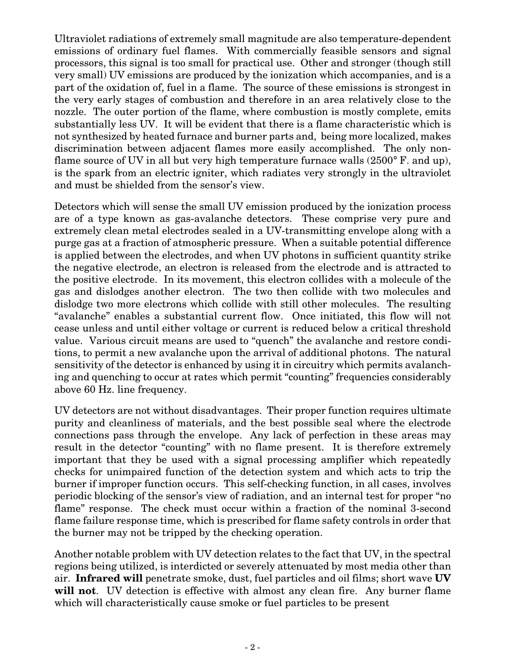Ultraviolet radiations of extremely small magnitude are also temperature-dependent emissions of ordinary fuel flames. With commercially feasible sensors and signal processors, this signal is too small for practical use. Other and stronger (though still very small) UV emissions are produced by the ionization which accompanies, and is a part of the oxidation of, fuel in a flame. The source of these emissions is strongest in the very early stages of combustion and therefore in an area relatively close to the nozzle. The outer portion of the flame, where combustion is mostly complete, emits substantially less UV. It will be evident that there is a flame characteristic which is not synthesized by heated furnace and burner parts and, being more localized, makes discrimination between adjacent flames more easily accomplished. The only nonflame source of UV in all but very high temperature furnace walls  $(2500^{\circ} \text{ F. and up})$ , is the spark from an electric igniter, which radiates very strongly in the ultraviolet and must be shielded from the sensor's view.

Detectors which will sense the small UV emission produced by the ionization process are of a type known as gas-avalanche detectors. These comprise very pure and extremely clean metal electrodes sealed in a UV-transmitting envelope along with a purge gas at a fraction of atmospheric pressure. When a suitable potential difference is applied between the electrodes, and when UV photons in sufficient quantity strike the negative electrode, an electron is released from the electrode and is attracted to the positive electrode. In its movement, this electron collides with a molecule of the gas and dislodges another electron. The two then collide with two molecules and dislodge two more electrons which collide with still other molecules. The resulting "avalanche" enables a substantial current flow. Once initiated, this flow will not cease unless and until either voltage or current is reduced below a critical threshold value. Various circuit means are used to "quench" the avalanche and restore conditions, to permit a new avalanche upon the arrival of additional photons. The natural sensitivity of the detector is enhanced by using it in circuitry which permits avalanching and quenching to occur at rates which permit "counting" frequencies considerably above 60 Hz. line frequency.

UV detectors are not without disadvantages. Their proper function requires ultimate purity and cleanliness of materials, and the best possible seal where the electrode connections pass through the envelope. Any lack of perfection in these areas may result in the detector "counting" with no flame present. It is therefore extremely important that they be used with a signal processing amplifier which repeatedly checks for unimpaired function of the detection system and which acts to trip the burner if improper function occurs. This self-checking function, in all cases, involves periodic blocking of the sensor's view of radiation, and an internal test for proper "no flame" response. The check must occur within a fraction of the nominal 3-second flame failure response time, which is prescribed for flame safety controls in order that the burner may not be tripped by the checking operation.

Another notable problem with UV detection relates to the fact that UV, in the spectral regions being utilized, is interdicted or severely attenuated by most media other than air. **Infrared will** penetrate smoke, dust, fuel particles and oil films; short wave **UV will not**. UV detection is effective with almost any clean fire. Any burner flame which will characteristically cause smoke or fuel particles to be present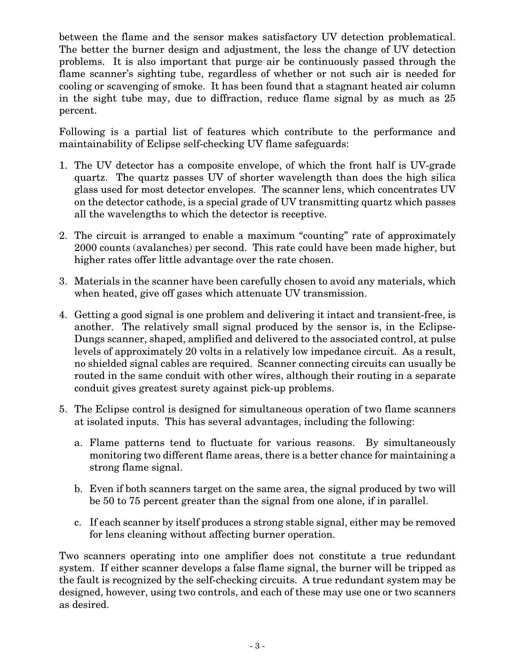between the flame and the sensor makes satisfactory UV detection problematical. The better the burner design and adjustment, the less the change of UV detection problems. It is also important that purge air be continuously passed through the flame scanner's sighting tube, regardless of whether or not such air is needed for cooling or scavenging of smoke. It has been found that a stagnant heated air column in the sight tube may, due to diffraction, reduce flame signal by as much as 25 percent.

Following is a partial list of features which contribute to the performance and maintainability of Eclipse self-checking UV flame safeguards:

- 1. The UV detector has a composite envelope, of which the front half is UV-grade quartz. The quartz passes UV of shorter wavelength than does the high silica glass used for most detector envelopes. The scanner lens, which concentrates UV on the detector cathode, is a special grade of UV transmitting quartz which passes all the wavelengths to which the detector is receptive.
- 2. The circuit is arranged to enable a maximum "counting" rate of approximately 2000 counts (avalanches) per second. This rate could have been made higher, but higher rates offer little advantage over the rate chosen.
- 3. Materials in the scanner have been carefully chosen to avoid any materials, which when heated, give off gases which attenuate UV transmission.
- 4. Getting a good signal is one problem and delivering it intact and transient-free, is another. The relatively small signal produced by the sensor is, in the Eclipse-Dungs scanner, shaped, amplified and delivered to the associated control, at pulse levels of approximately 20 volts in a relatively low impedance circuit. As a result, no shielded signal cables are required. Scanner connecting circuits can usually be routed in the same conduit with other wires, although their routing in a separate conduit gives greatest surety against pick-up problems.
- 5. The Eclipse control is designed for simultaneous operation of two flame scanners at isolated inputs. This has several advantages, including the following:
	- a. Flame patterns tend to fluctuate for various reasons. By simultaneously monitoring two different flame areas, there is a better chance for maintaining a strong flame signal.
	- b. Even if both scanners target on the same area, the signal produced by two will be 50 to 75 percent greater than the signal from one alone, if in parallel.
	- c. If each scanner by itself produces a strong stable signal, either may be removed for lens cleaning without affecting burner operation.

Two scanners operating into one amplifier does not constitute a true redundant system. If either scanner develops a false flame signal, the burner will be tripped as the fault is recognized by the self-checking circuits. A true redundant system may be designed, however, using two controls, and each of these may use one or two scanners as desired.